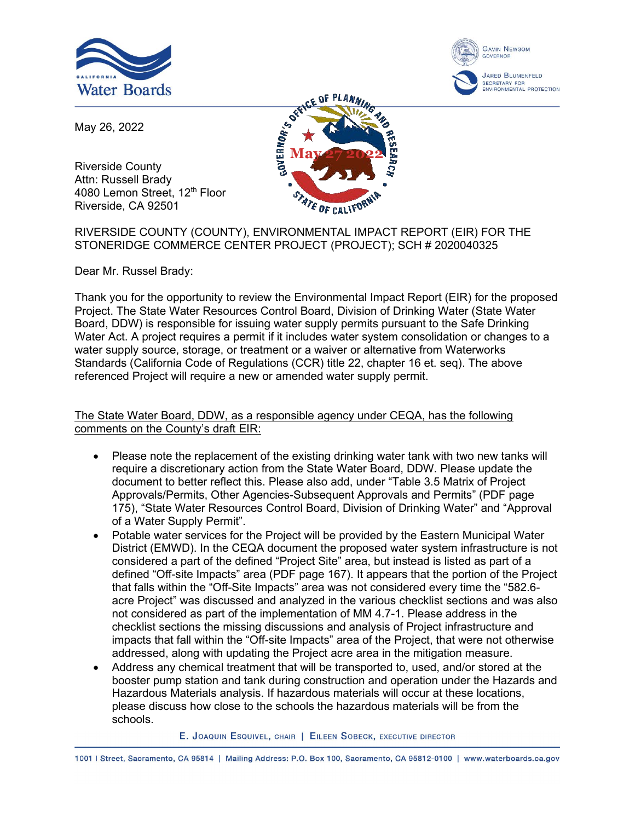



May 26, 2022

Riverside County Attn: Russell Brady 4080 Lemon Street, 12<sup>th</sup> Floor Riverside, CA 92501



## RIVERSIDE COUNTY (COUNTY), ENVIRONMENTAL IMPACT REPORT (EIR) FOR THE STONERIDGE COMMERCE CENTER PROJECT (PROJECT); SCH # 2020040325

Dear Mr. Russel Brady:

Thank you for the opportunity to review the Environmental Impact Report (EIR) for the proposed Project. The State Water Resources Control Board, Division of Drinking Water (State Water Board, DDW) is responsible for issuing water supply permits pursuant to the Safe Drinking Water Act. A project requires a permit if it includes water system consolidation or changes to a water supply source, storage, or treatment or a waiver or alternative from Waterworks Standards (California Code of Regulations (CCR) title 22, chapter 16 et. seq). The above referenced Project will require a new or amended water supply permit.

## The State Water Board, DDW, as a responsible agency under CEQA, has the following comments on the County's draft EIR:

- · Please note the replacement of the existing drinking water tank with two new tanks will require a discretionary action from the State Water Board, DDW. Please update the document to better reflect this. Please also add, under "Table 3.5 Matrix of Project Approvals/Permits, Other Agencies-Subsequent Approvals and Permits" (PDF page 175), "State Water Resources Control Board, Division of Drinking Water" and "Approval of a Water Supply Permit".
- · Potable water services for the Project will be provided by the Eastern Municipal Water District (EMWD). In the CEQA document the proposed water system infrastructure is not considered a part of the defined "Project Site" area, but instead is listed as part of a defined "Off-site Impacts" area (PDF page 167). It appears that the portion of the Project that falls within the "Off-Site Impacts" area was not considered every time the "582.6 acre Project" was discussed and analyzed in the various checklist sections and was also not considered as part of the implementation of MM 4.7-1. Please address in the checklist sections the missing discussions and analysis of Project infrastructure and impacts that fall within the "Off-site Impacts" area of the Project, that were not otherwise addressed, along with updating the Project acre area in the mitigation measure.
- Address any chemical treatment that will be transported to, used, and/or stored at the booster pump station and tank during construction and operation under the Hazards and Hazardous Materials analysis. If hazardous materials will occur at these locations, please discuss how close to the schools the hazardous materials will be from the schools.

E. JOAQUIN ESQUIVEL, CHAIR | EILEEN SOBECK, EXECUTIVE DIRECTOR